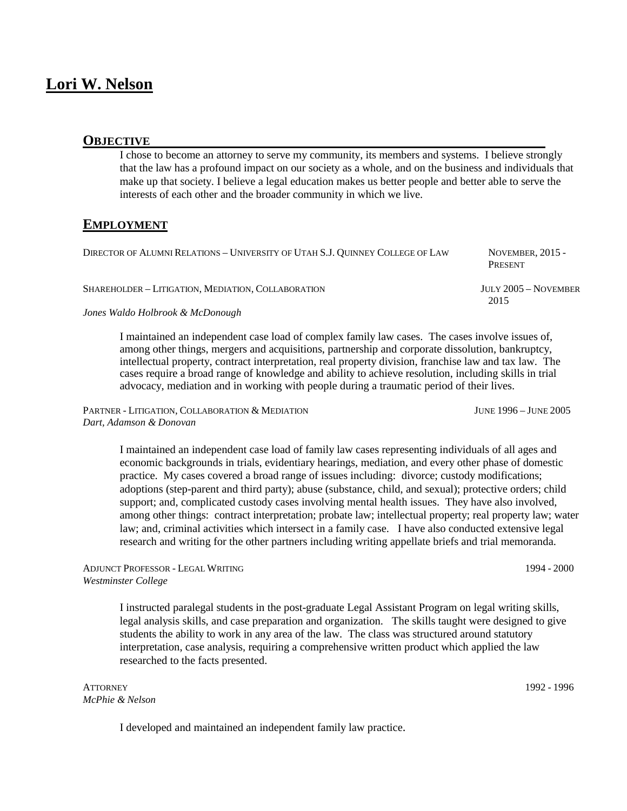# **Lori W. Nelson**

#### **OBJECTIVE**

I chose to become an attorney to serve my community, its members and systems. I believe strongly that the law has a profound impact on our society as a whole, and on the business and individuals that make up that society. I believe a legal education makes us better people and better able to serve the interests of each other and the broader community in which we live.

### **EMPLOYMENT**

| DIRECTOR OF ALUMNI RELATIONS - UNIVERSITY OF UTAH S.J. OUINNEY COLLEGE OF LAW | NOVEMBER, $2015 -$<br>PRESENT |
|-------------------------------------------------------------------------------|-------------------------------|
| SHAREHOLDER - LITIGATION, MEDIATION, COLLABORATION                            | JULY 2005 – NOVEMBER<br>2015  |
| Jones Waldo Holbrook & McDonough                                              |                               |

I maintained an independent case load of complex family law cases. The cases involve issues of, among other things, mergers and acquisitions, partnership and corporate dissolution, bankruptcy, intellectual property, contract interpretation, real property division, franchise law and tax law. The cases require a broad range of knowledge and ability to achieve resolution, including skills in trial advocacy, mediation and in working with people during a traumatic period of their lives.

PARTNER - LITIGATION, COLLABORATION & MEDIATION JUNE 1996 – JUNE 2005 *Dart, Adamson & Donovan*

I maintained an independent case load of family law cases representing individuals of all ages and economic backgrounds in trials, evidentiary hearings, mediation, and every other phase of domestic practice. My cases covered a broad range of issues including: divorce; custody modifications; adoptions (step-parent and third party); abuse (substance, child, and sexual); protective orders; child support; and, complicated custody cases involving mental health issues. They have also involved, among other things: contract interpretation; probate law; intellectual property; real property law; water law; and, criminal activities which intersect in a family case. I have also conducted extensive legal research and writing for the other partners including writing appellate briefs and trial memoranda.

#### ADJUNCT PROFESSOR - LEGAL WRITING 1994 - 2000 *Westminster College*

I instructed paralegal students in the post-graduate Legal Assistant Program on legal writing skills, legal analysis skills, and case preparation and organization. The skills taught were designed to give students the ability to work in any area of the law. The class was structured around statutory interpretation, case analysis, requiring a comprehensive written product which applied the law researched to the facts presented.

ATTORNEY 1992 - 1996 *McPhie & Nelson*

I developed and maintained an independent family law practice.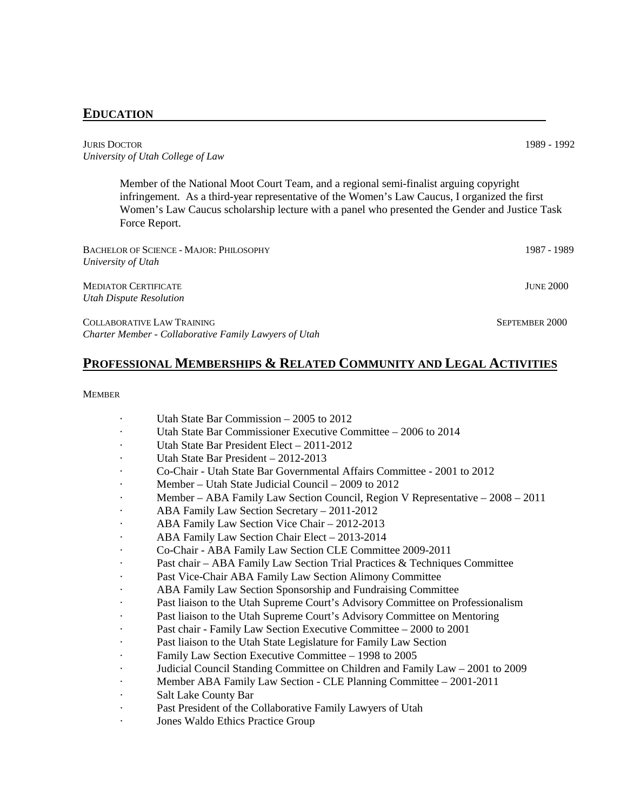## **EDUCATION**

JURIS DOCTOR 1989 - 1992 *University of Utah College of Law*

Member of the National Moot Court Team, and a regional semi-finalist arguing copyright infringement. As a third-year representative of the Women's Law Caucus, I organized the first Women's Law Caucus scholarship lecture with a panel who presented the Gender and Justice Task Force Report.

| <b>BACHELOR OF SCIENCE - MAJOR: PHILOSOPHY</b><br>University of Utah                       | 1987 - 1989      |
|--------------------------------------------------------------------------------------------|------------------|
| <b>MEDIATOR CERTIFICATE</b><br>Utah Dispute Resolution                                     | <b>JUNE 2000</b> |
| COLLABORATIVE LAW TRAINING<br><b>Charter Member - Collaborative Family Lawyers of Utah</b> | SEPTEMBER 2000   |

## **PROFESSIONAL MEMBERSHIPS & RELATED COMMUNITY AND LEGAL ACTIVITIES**

#### **MEMBER**

- Utah State Bar Commission  $-2005$  to 2012
- Utah State Bar Commissioner Executive Committee 2006 to 2014
- Utah State Bar President Elect 2011-2012
- Utah State Bar President 2012-2013
- · Co-Chair Utah State Bar Governmental Affairs Committee 2001 to 2012
- Member Utah State Judicial Council 2009 to 2012
- · Member ABA Family Law Section Council, Region V Representative 2008 2011
- · ABA Family Law Section Secretary 2011-2012
- ABA Family Law Section Vice Chair 2012-2013
- ABA Family Law Section Chair Elect 2013-2014
- · Co-Chair ABA Family Law Section CLE Committee 2009-2011
- Past chair ABA Family Law Section Trial Practices & Techniques Committee
- Past Vice-Chair ABA Family Law Section Alimony Committee
- ABA Family Law Section Sponsorship and Fundraising Committee
- Past liaison to the Utah Supreme Court's Advisory Committee on Professionalism
- Past liaison to the Utah Supreme Court's Advisory Committee on Mentoring
- Past chair Family Law Section Executive Committee 2000 to 2001
- Past liaison to the Utah State Legislature for Family Law Section
- Family Law Section Executive Committee 1998 to 2005
- Judicial Council Standing Committee on Children and Family Law 2001 to 2009
- · Member ABA Family Law Section CLE Planning Committee 2001-2011
- Salt Lake County Bar
- Past President of the Collaborative Family Lawyers of Utah
- Jones Waldo Ethics Practice Group